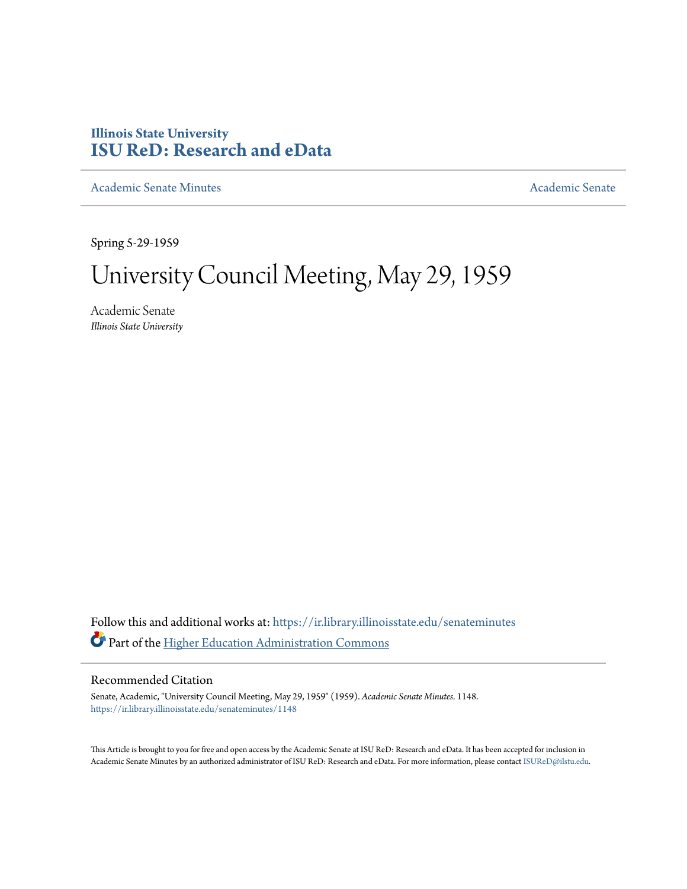# **Illinois State University [ISU ReD: Research and eData](https://ir.library.illinoisstate.edu?utm_source=ir.library.illinoisstate.edu%2Fsenateminutes%2F1148&utm_medium=PDF&utm_campaign=PDFCoverPages)**

[Academic Senate Minutes](https://ir.library.illinoisstate.edu/senateminutes?utm_source=ir.library.illinoisstate.edu%2Fsenateminutes%2F1148&utm_medium=PDF&utm_campaign=PDFCoverPages) [Academic Senate](https://ir.library.illinoisstate.edu/senate?utm_source=ir.library.illinoisstate.edu%2Fsenateminutes%2F1148&utm_medium=PDF&utm_campaign=PDFCoverPages) Academic Senate

Spring 5-29-1959

# University Council Meeting, May 29, 1959

Academic Senate *Illinois State University*

Follow this and additional works at: [https://ir.library.illinoisstate.edu/senateminutes](https://ir.library.illinoisstate.edu/senateminutes?utm_source=ir.library.illinoisstate.edu%2Fsenateminutes%2F1148&utm_medium=PDF&utm_campaign=PDFCoverPages) Part of the [Higher Education Administration Commons](http://network.bepress.com/hgg/discipline/791?utm_source=ir.library.illinoisstate.edu%2Fsenateminutes%2F1148&utm_medium=PDF&utm_campaign=PDFCoverPages)

## Recommended Citation

Senate, Academic, "University Council Meeting, May 29, 1959" (1959). *Academic Senate Minutes*. 1148. [https://ir.library.illinoisstate.edu/senateminutes/1148](https://ir.library.illinoisstate.edu/senateminutes/1148?utm_source=ir.library.illinoisstate.edu%2Fsenateminutes%2F1148&utm_medium=PDF&utm_campaign=PDFCoverPages)

This Article is brought to you for free and open access by the Academic Senate at ISU ReD: Research and eData. It has been accepted for inclusion in Academic Senate Minutes by an authorized administrator of ISU ReD: Research and eData. For more information, please contact [ISUReD@ilstu.edu.](mailto:ISUReD@ilstu.edu)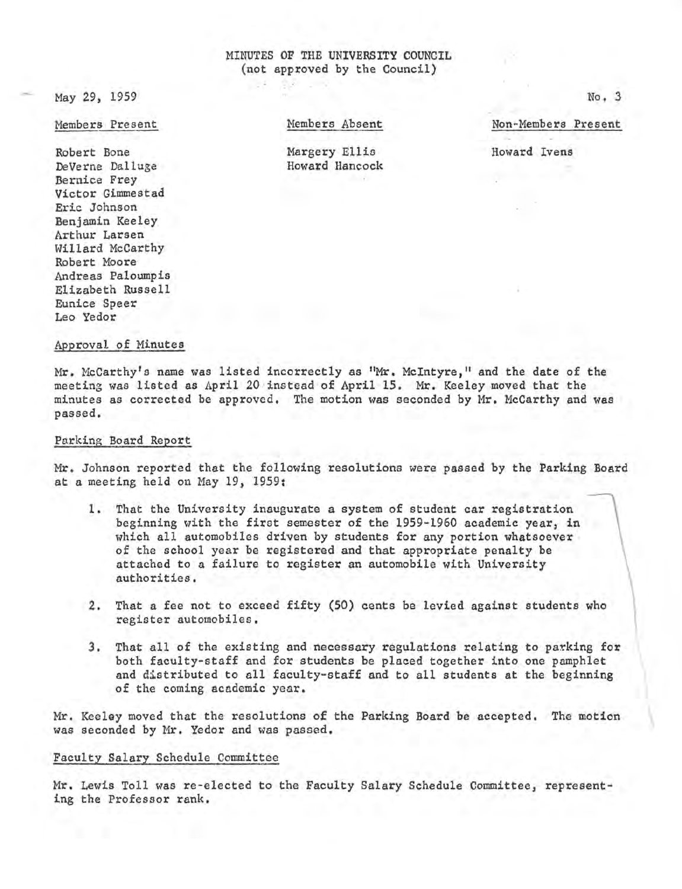### MINUTES OF THE UNIVERSITY COUNCIL (not approved by the Council)

May 29, 1959

Members Present

Robert Bone DeVerne Dalluge Bernice Frey Victor Gimmestad Eric Johnson Benjamin Keeley Arthur Larsen Willard McCarthy Robert Moore Andreas Paloumpis Elizabeth Russell Eunice Speer Leo Yedor

Members Absent

Non-Members Present

No, 3

 $\vert$ 

Margery Ellis Howard Hancock Howard Ivens

Approval of Minutes

Mr. McCarthy's name was listed incorrectly as "Mr. McIntyre," and the date of the meeting was listed as April 20 instead of April 15. Mr. Keeley moved that the minutes as corrected be approved. The motion was seconded by Mr. McCarthy and was passed.

#### Parking Board Report

Mr. Johnson reported that the following resolutions were passed by the Parking Board at a meeting held on May 19, 1959:

- 1. That the University inaugurate a system of student car registration beginning with the first semester of the 1959-1960 academic year, in which all automobiles driven by students for any portion whatsoever of the school year be registered and that appropriate penalty be attached to a failure to register an automobile with University authorities.
- 2. That a fee not to exceed fifty (50) cents be levied against students who register automobiles,
- 3. That all of the existing and necessary regulations relating to parking for both faculty-staff and for students be placed together into one pamphlet and distributed to all faculty-staff and to all students at the beginning of the coming academic year.

Mr. Keeley moved that the resolutions of the Parking Board be accepted. The motion \ was seconded by Mr. Yedor and was passed.

#### Faculty Salary Schedule Committee

Mr. Lewis Toll was re-elected to the Faculty Salary Schedule Committee, represent• ing the Professor rank.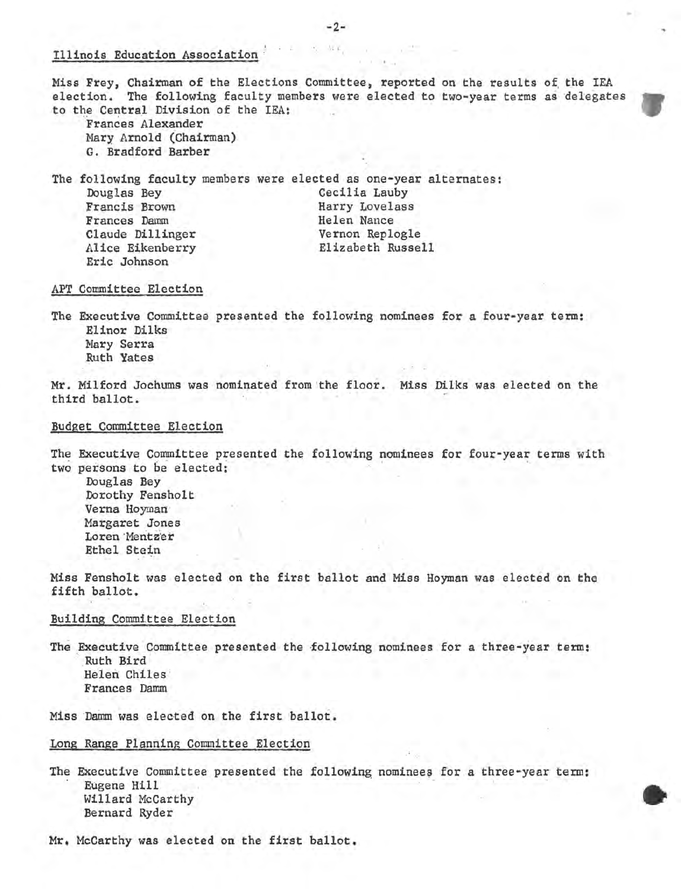#### Illinois Education Association

Miss Frey, Chairman of the Elections Committee, reported on the results of the IEA election. The following faculty members were elected to two-year terms as delegates to the Central Division of the IEA:

Frances Alexander Mary Arnold (Chairman) G. Bradford Barber

The following faculty members were elected as one-year alternates; Douglas Bey Francis Brown Frances Damm Claude Dillinger Alice Eikenberry Eric Johnson Cecilia Lauby Harry Lovelass Helen Nance Vernon Replogle Elizabeth Russell

#### APT Committee Election

The Executive Committee presented the following nominees for a four-year term: Elinor Dilks Mary Serra Ruth Yates

Mr. Milford Jochums was nominated from the floor. Miss Dilks was elected on the third° ballot.

#### Budget Committee Election

The Executive Committee presented the following nominees for four-year terms with two persons to be elected:

Douglas Bey Dorothy Fensholt Verna Hoyman Margaret Jones Loren Mentzer Ethel Stein

Miss Fensholt was elected on the first ballot and Miss Hoyman was elected on the fifth ballot.

#### Building Committee Election

The Executive Committee presented the following nominees for a three-year term:<br>Ruth Bird Helen Chiles Frances Damm

Miss Damm was elected on the first ballot.

#### Long Range Planning Committee Election

The Executive Committee presented the following nominees for a three-year term:<br>Eugene Hill Willard McCarthy ~ Bernard Ryder

Mr, McCarthy was elected on the first ballot.

-2- 放实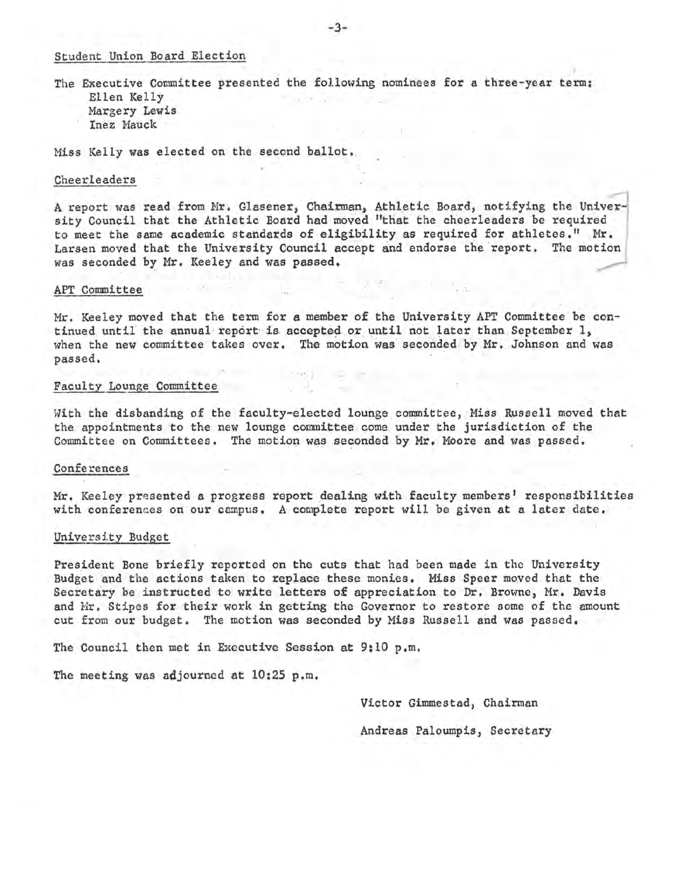#### Student Union Board Election

The Executive Committee presented the following nominees for a three-year term: Ellen Kelly Margery Lewis Inez Mauck

Miss Kelly was elected on the second ballot.

#### Cheerleaders

A report was read from Mr. Glasener, Chairman, Athletic Board, notifying the University Council that the Athletic Board had moved "that the cheerleaders be required to meet the same academic standards of eligibility as required for athletes." Mr. Larsen moved that the University Council accept and endorse the report. The motion was seconded by Mr. Keeley and was passed.

#### APT Committee

Mr. Keeley moved that the term for a member of the University APT Committee be continued until the annual report is accepted or until not later than September 1, when the new committee takes over. The motion was seconded by Mr. Johnson and was  $\mathbf{p}$ assed, ... ... ; ... ; ... ; ... ; ... ; ... ; ... ; ... ; ... ; ... ; ... ; ... ; ... ; ... ; ... ; ... ; ... ; ... ; ... ; ... ; ... ; ... ; ... ; ... ; ... ; ... ; ... ; ... ; ... ; ... ; ... ; ... ; ... ; ...

#### Faculty Lounge Committee

With the disbanding of the faculty-elected lounge connnittee, Miss Russell moved that the appointments to the new lounge committee come under the jurisdiction of the Committee on Committees. The motion was seconded by Mr. Moore and was passed.

#### Conferences

Mr. Keeley presented a progress report dealing with faculty members' responsibilities with conferences on our campus. A complete report will be given at a later date.

#### University Budget

President Bone briefly reported on the cuts that had been made in the University Budget and the actions taken to replace these monies. Miss Speer moved that the Secretary be instructed to write letters of appreciation to Dr. Browne, Mr. Davis and Mr. Stipes for their work in getting the Governor to restore some of the amount cut from our budget. The motion was seconded by Miss Russell and was passed.

The Council then met in Executive Session at  $9:10$  p.m.

The meeting was adjourned at 10:25 p.m.

Victor Gimmestad, Chairman Andreas Paloumpis, Secretary